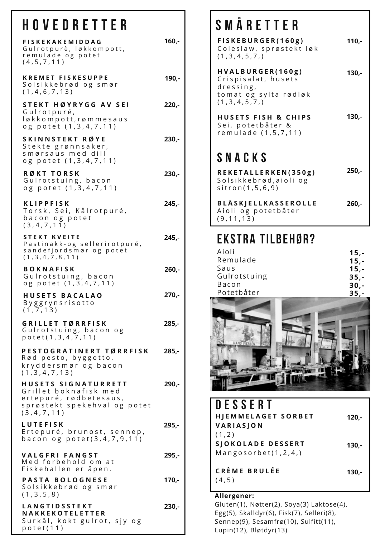# **H o v e d r e t t e r**

| <b>FISKEKAKEMIDDAG</b><br>Gulrotpurè, løkkompott,<br>remulade og potet<br>(4, 5, 7, 11)                                 | $160,-$  |
|-------------------------------------------------------------------------------------------------------------------------|----------|
| <b>KREMET FISKESUPPE</b><br>Solsikkebrød og smør<br>(1, 4, 6, 7, 13)                                                    | 190,-    |
| <b>STEKT HØYRYGG AV SEI</b><br>Gulrotpuré,<br>løkkompott, rømmesaus<br>og potet (1,3,4,7,11)                            | $220 -$  |
| SKINNSTEKT RØYE<br>Stekte grønnsaker,<br>smørsaus med dill<br>og potet (1,3,4,7,11)                                     | 230,-    |
| <b>RØKT TORSK</b><br>Gulrotstuing, bacon<br>og potet (1,3,4,7,11)                                                       | $230 -$  |
| <b>KLIPPFISK</b><br>Torsk, Sei, Kålrotpuré,<br>bacon og potet<br>(3,4,7,11)                                             | $245,-$  |
| <b>STEKT KVEITE</b><br>Pastinakk-og sellerirotpuré,<br>sandefjordsmør og potet<br>(1, 3, 4, 7, 8, 11)                   | $245,-$  |
| <b>BOKNAFISK</b><br>Gulrotstuing, bacon<br>og potet (1,3,4,7,11)                                                        | $260,-$  |
| <b>HUSETS BACALAO</b><br>Byggrynsrisotto<br>(1, 7, 13)                                                                  | $270. -$ |
| <b>GRILLET TØRRFISK</b><br>Gulrotstuing, bacon og<br>potet(1,3,4,7,11)                                                  | 285,-    |
| PESTOGRATINERT TØRRFISK<br>Rød pesto, byggotto,<br>kryddersmør og bacon<br>(1, 3, 4, 7, 13)                             | $285. -$ |
| HUSETS SIGNATURRETT<br>Grillet boknafisk med<br>ertepuré, rødbetesaus,<br>sprøstekt spekehval og potet<br>(3, 4, 7, 11) | $290 -$  |
| <b>LUTEFISK</b><br>Ertepuré, brunost, sennep,<br>bacon og potet $(3, 4, 7, 9, 11)$                                      | 295,-    |
| <b>VALGFRI FANGST</b><br>Med forbehold om at<br>Fiskehallen er åpen.                                                    | $295,-$  |
| <b>PASTA BOLOGNESE</b><br>Solsikkebrød og smør<br>(1, 3, 5, 8)                                                          | $170 -$  |
| LANGTIDSSTEKT<br>NAKKEKOTELETTER<br>Surkål, kokt gulrot, sjy og<br>potet(11)                                            | $230 -$  |

#### **S m å r e t t e r**

**F I S K E B U R G E R ( 1 6 0 g )** Coleslaw, sprøstekt løk  $(1, 3, 4, 5, 7, )$ **H V A L B U R G E R ( 1 6 0 g )** Crispisalat, husets d r e s s i n g , to m at og sylta rødløk  $(1, 3, 4, 5, 7, )$ **H U S E T S F I S H & C H I P S** Sei, potetbåter & r e m u l a d e (1,5,7,11) **S N A C K S R E K E T A L L E R K E N ( 3 5 0 g )** Solsikkebrød, aioli og  $s$  it r o n  $(1, 5, 6, 9)$ **B L Å S K J E L L K A S S E R O L L E** Aioli og potetbåter **110,- 130,- 130,- 260,- 250,-**

#### **Ekstra tilbehør?**

 $(9, 11, 13)$ 

| Aioli        | $15. -$ |
|--------------|---------|
| Remulade     | $15. -$ |
| Saus         | $15. -$ |
| Gulrotstuing | $35 -$  |
| <b>Bacon</b> | $30 -$  |
| Potetbåter   | $35 -$  |



| DESSERT<br><b>HJEMMELAGET SORBET</b><br>VARIASJON        | $120 -$ |
|----------------------------------------------------------|---------|
| (1, 2)<br>SJOKOLADE DESSERT<br>Mangosorbet $(1, 2, 4, )$ | 130,-   |
| <b>CRÈME BRULÉE</b><br>(4, 5)                            | 130,-   |

#### **Allergener:**

Gluten(1), Nøtter(2), Soya(3) Laktose(4), Egg(5), Skalldyr(6), Fisk(7), Selleri(8), Sennep(9), Sesamfrø(10), Sulfitt(11), Lupin(12), Bløtdyr(13)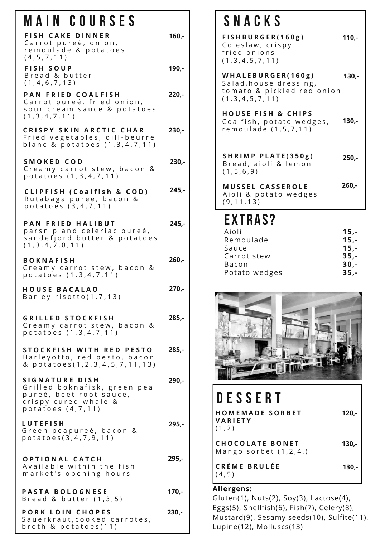#### **M a i n C o u r s e s**

| MAIN UUUIULU                                                                                                                  |          |
|-------------------------------------------------------------------------------------------------------------------------------|----------|
| <b>FISH CAKE DINNER</b><br>Carrot pureè, onion,<br>remoulade & potatoes<br>(4, 5, 7, 11)                                      | $160 -$  |
| <b>FISH SOUP</b><br>Bread & butter<br>(1, 4, 6, 7, 13)                                                                        | $190 -$  |
| PAN FRIED COALFISH<br>Carrot pureé, fried onion,<br>sour cream sauce & potatoes<br>(1, 3, 4, 7, 11)                           | $220 -$  |
| <b>CRISPY SKIN ARCTIC CHAR</b><br>Fried vegetables, dill-beurre<br>blanc & potatoes (1,3,4,7,11)                              | $230 -$  |
| SMOKED COD<br>Creamy carrot stew, bacon &<br>potatoes (1,3,4,7,11)                                                            | $230 -$  |
| <b>CLIPFISH (Coalfish &amp; COD)</b><br>Rutabaga puree, bacon &<br>potatoes (3,4,7,11)                                        | 245,-    |
| PAN FRIED HALIBUT<br>parsnip and celeriac pureé,<br>sandefjord butter & potatoes<br>(1,3,4,7,8,11)                            | $245. -$ |
| <b>BOKNAFISH</b><br>Creamy carrot stew, bacon &<br>potatoes (1,3,4,7,11)                                                      | 260,-    |
| <b>HOUSE BACALAO</b><br>Barley risotto $(1,7,13)$                                                                             | $270 -$  |
| <b>GRILLED STOCKFISH</b><br>Creamy carrot stew, bacon &<br>potatoes (1,3,4,7,11)                                              | 285,-    |
| STOCKFISH WITH RED PESTO<br>Barleyotto, red pesto, bacon<br>& potatoes(1,2,3,4,5,7,11,13)                                     | $285 -$  |
| <b>SIGNATURE DISH</b><br>Grilled boknafisk, green pea<br>pureé, beet root sauce,<br>crispy cured whale &<br>potatoes (4,7,11) | 290,-    |
| <b>LUTEFISH</b><br>Green peapureé, bacon &<br>potatoes(3,4,7,9,11)                                                            | $295,-$  |
| OPTIONAL CATCH<br>Available within the fish<br>market's opening hours                                                         | 295,-    |
| <b>PASTA BOLOGNESE</b>                                                                                                        | $170,-$  |

**P A S T A B O L O G N E S E** B r e a d & b u t t e  $r$   $(1, 3, 5)$ 

**P O R K L O I N C H O P E S** Sau er kraut, cooked carrotes, broth & potatoes $(11)$ **230,-**

#### **S N A C K S**

**F I S H B U R G E R ( 1 6 0 g )** Coleslaw, crispy fried onions  $(1, 3, 4, 5, 7, 11)$ **110,-**

**W H A L E B U R G E R ( 1 6 0 g )** Salad, house dressing, to mato & pickled red onion  $(1, 3, 4, 5, 7, 11)$ **130,-**

**H O U S E F I S H & C H I P S** Coalfish, potato wedges, r e m o u l a d e (1, 5, 7, 11) **130,-**

**S H R I M P P L A T E ( 3 5 0 g )** Bread, aioli & lemon  $(1, 5, 6, 9)$ **250,-**

**260,-**

**M U S S E L C A S S E R O L E** Aioli & potato wedges  $(9, 11, 13)$ 

# **Extras?**

| Aioli         | $15. -$ |
|---------------|---------|
| Remoulade     | $15. -$ |
| Sauce         | $15. -$ |
| Carrot stew   | $35. -$ |
| Bacon         | $30. -$ |
| Potato wedges | $35. -$ |



| DESSERT                                          |         |
|--------------------------------------------------|---------|
| <b>HOMEMADE SORBET</b><br>VARIETY<br>(1, 2)      | 120,-   |
| <b>CHOCOLATE BONET</b><br>Mango sorbet $(1,2,4)$ | $130,-$ |
| <b>CRÈME BRULÉE</b><br>4,5)                      | 130,-   |

#### **Allergens:**

Gluten(1), Nuts(2), Soy(3), Lactose(4), Eggs(5), Shellfish(6), Fish(7), Celery(8), Mustard(9), Sesamy seeds(10), Sulfite(11), Lupine(12), Molluscs(13)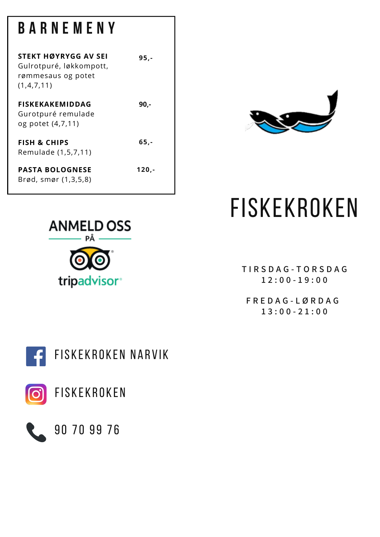# **B A R N E M E N Y**

Remulade (1,5,7,11)

**PASTA BOLOGNESE** Brød, smør (1,3,5,8)

| STEKT HØYRYGG AV SEI<br>Gulrotpuré, løkkompott,<br>rømmesaus og potet<br>(1,4,7,11) | 95.- |
|-------------------------------------------------------------------------------------|------|
| <b>FISKEKAKEMIDDAG</b><br>Gurotpuré remulade<br>og potet (4,7,11)                   | 90.- |
| <b>FISH &amp; CHIPS</b>                                                             | 65.- |

**ANMELD OSS** tripadvisor<sup>®</sup>



**120,-**



**T I R S D A G - T O R S D A G 1 2 : 0 0 - 1 9 : 0 0**

**F R E D A G - L Ø R D A G 1 3 : 0 0 - 2 1 : 0 0**





90 70 99 76